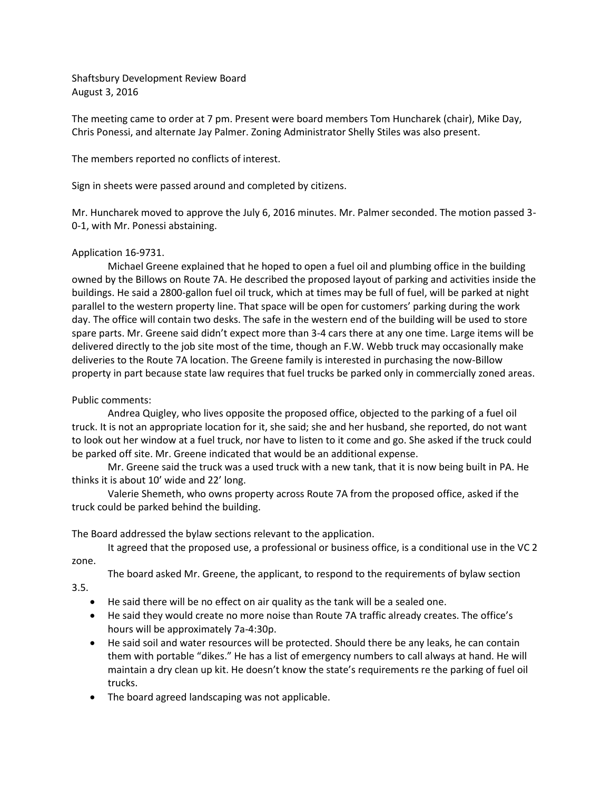Shaftsbury Development Review Board August 3, 2016

The meeting came to order at 7 pm. Present were board members Tom Huncharek (chair), Mike Day, Chris Ponessi, and alternate Jay Palmer. Zoning Administrator Shelly Stiles was also present.

The members reported no conflicts of interest.

Sign in sheets were passed around and completed by citizens.

Mr. Huncharek moved to approve the July 6, 2016 minutes. Mr. Palmer seconded. The motion passed 3- 0-1, with Mr. Ponessi abstaining.

## Application 16-9731.

Michael Greene explained that he hoped to open a fuel oil and plumbing office in the building owned by the Billows on Route 7A. He described the proposed layout of parking and activities inside the buildings. He said a 2800-gallon fuel oil truck, which at times may be full of fuel, will be parked at night parallel to the western property line. That space will be open for customers' parking during the work day. The office will contain two desks. The safe in the western end of the building will be used to store spare parts. Mr. Greene said didn't expect more than 3-4 cars there at any one time. Large items will be delivered directly to the job site most of the time, though an F.W. Webb truck may occasionally make deliveries to the Route 7A location. The Greene family is interested in purchasing the now-Billow property in part because state law requires that fuel trucks be parked only in commercially zoned areas.

## Public comments:

Andrea Quigley, who lives opposite the proposed office, objected to the parking of a fuel oil truck. It is not an appropriate location for it, she said; she and her husband, she reported, do not want to look out her window at a fuel truck, nor have to listen to it come and go. She asked if the truck could be parked off site. Mr. Greene indicated that would be an additional expense.

Mr. Greene said the truck was a used truck with a new tank, that it is now being built in PA. He thinks it is about 10' wide and 22' long.

Valerie Shemeth, who owns property across Route 7A from the proposed office, asked if the truck could be parked behind the building.

The Board addressed the bylaw sections relevant to the application.

It agreed that the proposed use, a professional or business office, is a conditional use in the VC 2 zone.

The board asked Mr. Greene, the applicant, to respond to the requirements of bylaw section

3.5.

- He said there will be no effect on air quality as the tank will be a sealed one.
- He said they would create no more noise than Route 7A traffic already creates. The office's hours will be approximately 7a-4:30p.
- He said soil and water resources will be protected. Should there be any leaks, he can contain them with portable "dikes." He has a list of emergency numbers to call always at hand. He will maintain a dry clean up kit. He doesn't know the state's requirements re the parking of fuel oil trucks.
- The board agreed landscaping was not applicable.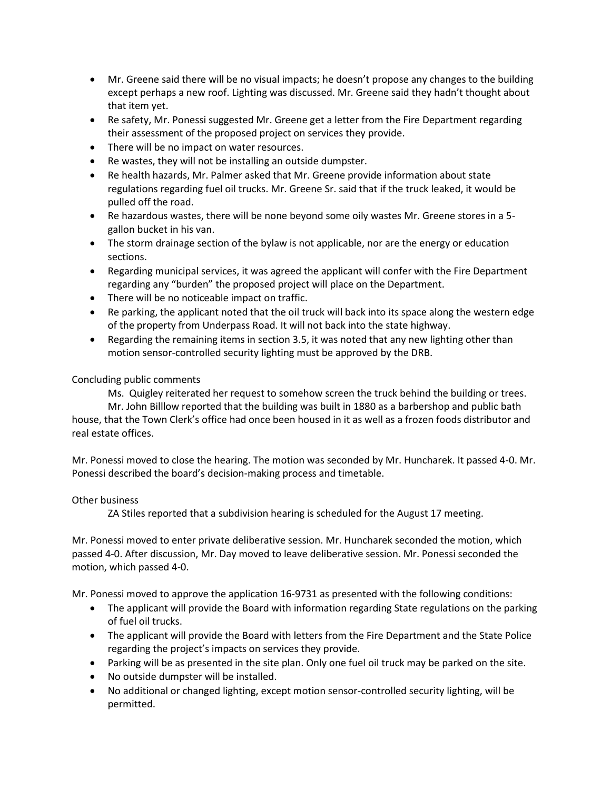- Mr. Greene said there will be no visual impacts; he doesn't propose any changes to the building except perhaps a new roof. Lighting was discussed. Mr. Greene said they hadn't thought about that item yet.
- Re safety, Mr. Ponessi suggested Mr. Greene get a letter from the Fire Department regarding their assessment of the proposed project on services they provide.
- There will be no impact on water resources.
- Re wastes, they will not be installing an outside dumpster.
- Re health hazards, Mr. Palmer asked that Mr. Greene provide information about state regulations regarding fuel oil trucks. Mr. Greene Sr. said that if the truck leaked, it would be pulled off the road.
- Re hazardous wastes, there will be none beyond some oily wastes Mr. Greene stores in a 5 gallon bucket in his van.
- The storm drainage section of the bylaw is not applicable, nor are the energy or education sections.
- Regarding municipal services, it was agreed the applicant will confer with the Fire Department regarding any "burden" the proposed project will place on the Department.
- There will be no noticeable impact on traffic.
- Re parking, the applicant noted that the oil truck will back into its space along the western edge of the property from Underpass Road. It will not back into the state highway.
- Regarding the remaining items in section 3.5, it was noted that any new lighting other than motion sensor-controlled security lighting must be approved by the DRB.

## Concluding public comments

Ms. Quigley reiterated her request to somehow screen the truck behind the building or trees.

Mr. John Billlow reported that the building was built in 1880 as a barbershop and public bath house, that the Town Clerk's office had once been housed in it as well as a frozen foods distributor and real estate offices.

Mr. Ponessi moved to close the hearing. The motion was seconded by Mr. Huncharek. It passed 4-0. Mr. Ponessi described the board's decision-making process and timetable.

## Other business

ZA Stiles reported that a subdivision hearing is scheduled for the August 17 meeting.

Mr. Ponessi moved to enter private deliberative session. Mr. Huncharek seconded the motion, which passed 4-0. After discussion, Mr. Day moved to leave deliberative session. Mr. Ponessi seconded the motion, which passed 4-0.

Mr. Ponessi moved to approve the application 16-9731 as presented with the following conditions:

- The applicant will provide the Board with information regarding State regulations on the parking of fuel oil trucks.
- The applicant will provide the Board with letters from the Fire Department and the State Police regarding the project's impacts on services they provide.
- Parking will be as presented in the site plan. Only one fuel oil truck may be parked on the site.
- No outside dumpster will be installed.
- No additional or changed lighting, except motion sensor-controlled security lighting, will be permitted.